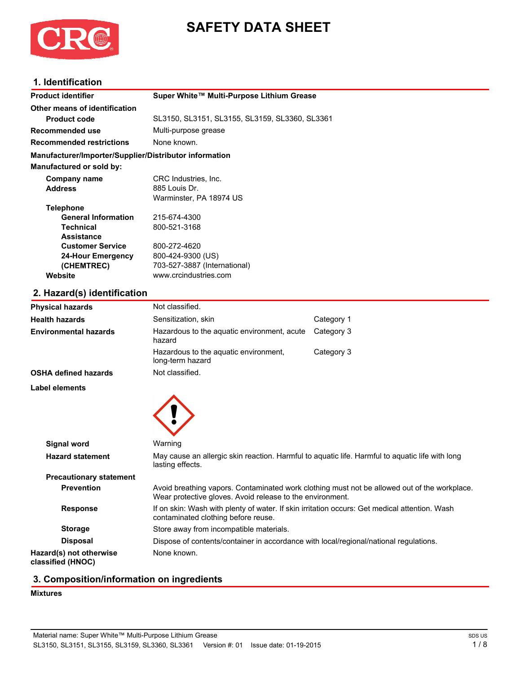

# **SAFETY DATA SHEET**

# **1. Identification**

| <b>Product identifier</b>                              | Super White™ Multi-Purpose Lithium Grease      |
|--------------------------------------------------------|------------------------------------------------|
| Other means of identification                          |                                                |
| <b>Product code</b>                                    | SL3150, SL3151, SL3155, SL3159, SL3360, SL3361 |
| Recommended use                                        | Multi-purpose grease                           |
| <b>Recommended restrictions</b>                        | None known.                                    |
| Manufacturer/Importer/Supplier/Distributor information |                                                |
| Manufactured or sold by:                               |                                                |
| Company name                                           | CRC Industries, Inc.                           |
| <b>Address</b>                                         | 885 Louis Dr.                                  |
|                                                        | Warminster, PA 18974 US                        |
| <b>Telephone</b>                                       |                                                |
| <b>General Information</b>                             | 215-674-4300                                   |
| <b>Technical</b>                                       | 800-521-3168                                   |
| <b>Assistance</b>                                      |                                                |
| <b>Customer Service</b>                                | 800-272-4620                                   |
| 24-Hour Emergency                                      | 800-424-9300 (US)                              |
| (CHEMTREC)                                             | 703-527-3887 (International)                   |
| Website                                                | www.crcindustries.com                          |

# **2. Hazard(s) identification**

| <b>Physical hazards</b>                      | Not classified.                                                                                                                      |                                                                                              |
|----------------------------------------------|--------------------------------------------------------------------------------------------------------------------------------------|----------------------------------------------------------------------------------------------|
| <b>Health hazards</b>                        | Sensitization, skin                                                                                                                  | Category 1                                                                                   |
| Environmental hazards                        | Hazardous to the aquatic environment, acute<br>hazard                                                                                | Category 3                                                                                   |
|                                              | Hazardous to the aquatic environment,<br>long-term hazard                                                                            | Category 3                                                                                   |
| <b>OSHA defined hazards</b>                  | Not classified.                                                                                                                      |                                                                                              |
| Label elements                               |                                                                                                                                      |                                                                                              |
|                                              |                                                                                                                                      |                                                                                              |
|                                              |                                                                                                                                      |                                                                                              |
|                                              |                                                                                                                                      |                                                                                              |
| <b>Signal word</b>                           | Warning                                                                                                                              |                                                                                              |
| <b>Hazard statement</b>                      | May cause an allergic skin reaction. Harmful to aquatic life. Harmful to aquatic life with long<br>lasting effects.                  |                                                                                              |
| <b>Precautionary statement</b>               |                                                                                                                                      |                                                                                              |
| <b>Prevention</b>                            | Wear protective gloves. Avoid release to the environment.                                                                            | Avoid breathing vapors. Contaminated work clothing must not be allowed out of the workplace. |
| <b>Response</b>                              | If on skin: Wash with plenty of water. If skin irritation occurs: Get medical attention. Wash<br>contaminated clothing before reuse. |                                                                                              |
| <b>Storage</b>                               | Store away from incompatible materials.                                                                                              |                                                                                              |
| <b>Disposal</b>                              | Dispose of contents/container in accordance with local/regional/national regulations.                                                |                                                                                              |
| Hazard(s) not otherwise<br>classified (HNOC) | None known.                                                                                                                          |                                                                                              |
|                                              |                                                                                                                                      |                                                                                              |

# **3. Composition/information on ingredients**

# **Mixtures**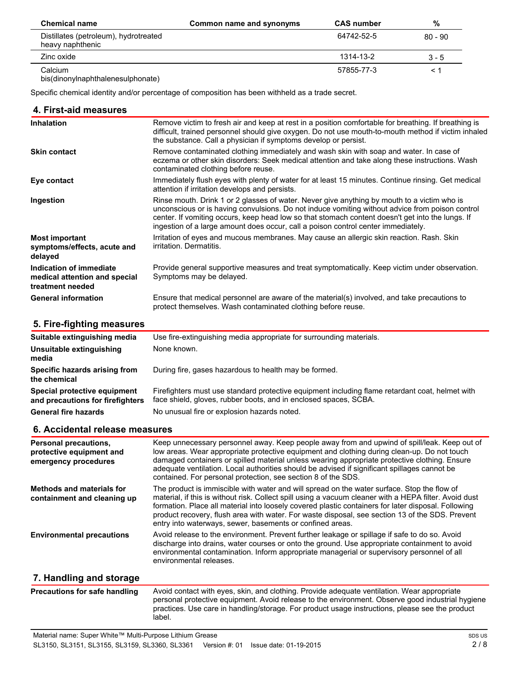| <b>Chemical name</b>                                      | Common name and synonyms | <b>CAS</b> number | %         |
|-----------------------------------------------------------|--------------------------|-------------------|-----------|
| Distillates (petroleum), hydrotreated<br>heavy naphthenic |                          | 64742-52-5        | $80 - 90$ |
| Zinc oxide                                                |                          | 1314-13-2         | $3 - 5$   |
| Calcium<br>bis(dinonylnaphthalenesulphonate)              |                          | 57855-77-3        |           |

Specific chemical identity and/or percentage of composition has been withheld as a trade secret.

| 4. First-aid measures                                                        |                                                                                                                                                                                                                                                                                                                                                                                                                                                                              |  |
|------------------------------------------------------------------------------|------------------------------------------------------------------------------------------------------------------------------------------------------------------------------------------------------------------------------------------------------------------------------------------------------------------------------------------------------------------------------------------------------------------------------------------------------------------------------|--|
| <b>Inhalation</b>                                                            | Remove victim to fresh air and keep at rest in a position comfortable for breathing. If breathing is<br>difficult, trained personnel should give oxygen. Do not use mouth-to-mouth method if victim inhaled<br>the substance. Call a physician if symptoms develop or persist.                                                                                                                                                                                               |  |
| <b>Skin contact</b>                                                          | Remove contaminated clothing immediately and wash skin with soap and water. In case of<br>eczema or other skin disorders: Seek medical attention and take along these instructions. Wash<br>contaminated clothing before reuse.                                                                                                                                                                                                                                              |  |
| Eye contact                                                                  | Immediately flush eyes with plenty of water for at least 15 minutes. Continue rinsing. Get medical<br>attention if irritation develops and persists.                                                                                                                                                                                                                                                                                                                         |  |
| Ingestion                                                                    | Rinse mouth. Drink 1 or 2 glasses of water. Never give anything by mouth to a victim who is<br>unconscious or is having convulsions. Do not induce vomiting without advice from poison control<br>center. If vomiting occurs, keep head low so that stomach content doesn't get into the lungs. If<br>ingestion of a large amount does occur, call a poison control center immediately.                                                                                      |  |
| <b>Most important</b><br>symptoms/effects, acute and<br>delayed              | Irritation of eyes and mucous membranes. May cause an allergic skin reaction. Rash. Skin<br>irritation. Dermatitis.                                                                                                                                                                                                                                                                                                                                                          |  |
| Indication of immediate<br>medical attention and special<br>treatment needed | Provide general supportive measures and treat symptomatically. Keep victim under observation.<br>Symptoms may be delayed.                                                                                                                                                                                                                                                                                                                                                    |  |
| <b>General information</b>                                                   | Ensure that medical personnel are aware of the material(s) involved, and take precautions to<br>protect themselves. Wash contaminated clothing before reuse.                                                                                                                                                                                                                                                                                                                 |  |
| 5. Fire-fighting measures                                                    |                                                                                                                                                                                                                                                                                                                                                                                                                                                                              |  |
| Suitable extinguishing media                                                 | Use fire-extinguishing media appropriate for surrounding materials.                                                                                                                                                                                                                                                                                                                                                                                                          |  |
| Unsuitable extinguishing<br>media                                            | None known.                                                                                                                                                                                                                                                                                                                                                                                                                                                                  |  |
| Specific hazards arising from<br>the chemical                                | During fire, gases hazardous to health may be formed.                                                                                                                                                                                                                                                                                                                                                                                                                        |  |
| Special protective equipment<br>and precautions for firefighters             | Firefighters must use standard protective equipment including flame retardant coat, helmet with<br>face shield, gloves, rubber boots, and in enclosed spaces, SCBA.                                                                                                                                                                                                                                                                                                          |  |
| <b>General fire hazards</b>                                                  | No unusual fire or explosion hazards noted.                                                                                                                                                                                                                                                                                                                                                                                                                                  |  |
| 6. Accidental release measures                                               |                                                                                                                                                                                                                                                                                                                                                                                                                                                                              |  |
| Personal precautions,<br>protective equipment and<br>emergency procedures    | Keep unnecessary personnel away. Keep people away from and upwind of spill/leak. Keep out of<br>low areas. Wear appropriate protective equipment and clothing during clean-up. Do not touch<br>damaged containers or spilled material unless wearing appropriate protective clothing. Ensure<br>adequate ventilation. Local authorities should be advised if significant spillages cannot be<br>contained. For personal protection, see section 8 of the SDS.                |  |
| <b>Methods and materials for</b><br>containment and cleaning up              | The product is immiscible with water and will spread on the water surface. Stop the flow of<br>material, if this is without risk. Collect spill using a vacuum cleaner with a HEPA filter. Avoid dust<br>formation. Place all material into loosely covered plastic containers for later disposal. Following<br>product recovery, flush area with water. For waste disposal, see section 13 of the SDS. Prevent<br>entry into waterways, sewer, basements or confined areas. |  |
| <b>Environmental precautions</b>                                             | Avoid release to the environment. Prevent further leakage or spillage if safe to do so. Avoid<br>discharge into drains, water courses or onto the ground. Use appropriate containment to avoid<br>environmental contamination. Inform appropriate managerial or supervisory personnel of all<br>environmental releases.                                                                                                                                                      |  |
| 7. Handling and storage                                                      |                                                                                                                                                                                                                                                                                                                                                                                                                                                                              |  |
| <b>Precautions for safe handling</b>                                         | Avoid contact with eyes, skin, and clothing. Provide adequate ventilation. Wear appropriate<br>personal protective equipment. Avoid release to the environment. Observe good industrial hygiene<br>practices. Use care in handling/storage. For product usage instructions, please see the product<br>label.                                                                                                                                                                 |  |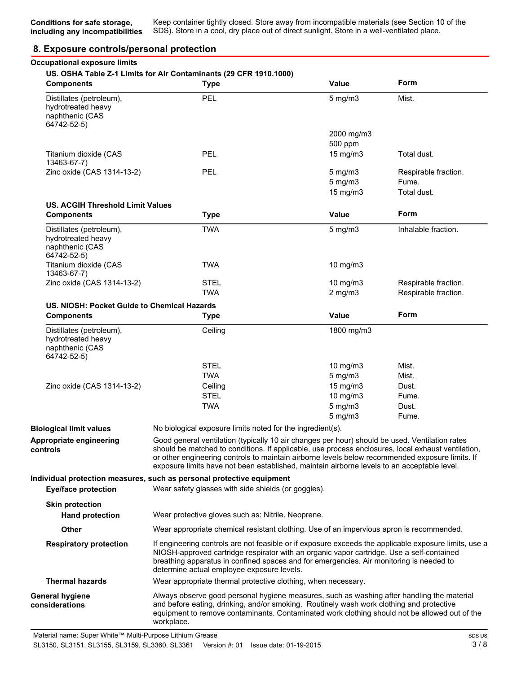# **8. Exposure controls/personal protection**

| <b>Components</b>                                                                | <b>Type</b>                                                                                                                                                                                                                                                                                                                                                                                            | <b>Value</b>                                  | Form                                         |
|----------------------------------------------------------------------------------|--------------------------------------------------------------------------------------------------------------------------------------------------------------------------------------------------------------------------------------------------------------------------------------------------------------------------------------------------------------------------------------------------------|-----------------------------------------------|----------------------------------------------|
| Distillates (petroleum),<br>hydrotreated heavy<br>naphthenic (CAS<br>64742-52-5) | PEL                                                                                                                                                                                                                                                                                                                                                                                                    | $5$ mg/m $3$                                  | Mist.                                        |
|                                                                                  |                                                                                                                                                                                                                                                                                                                                                                                                        | 2000 mg/m3                                    |                                              |
|                                                                                  | PEL                                                                                                                                                                                                                                                                                                                                                                                                    | 500 ppm                                       |                                              |
| Titanium dioxide (CAS<br>13463-67-7)                                             |                                                                                                                                                                                                                                                                                                                                                                                                        | $15$ mg/m $3$                                 | Total dust.                                  |
| Zinc oxide (CAS 1314-13-2)                                                       | PEL                                                                                                                                                                                                                                                                                                                                                                                                    | $5$ mg/m $3$<br>$5$ mg/m $3$<br>$15$ mg/m $3$ | Respirable fraction.<br>Fume.<br>Total dust. |
| <b>US. ACGIH Threshold Limit Values</b><br><b>Components</b>                     | <b>Type</b>                                                                                                                                                                                                                                                                                                                                                                                            | <b>Value</b>                                  | Form                                         |
|                                                                                  |                                                                                                                                                                                                                                                                                                                                                                                                        |                                               |                                              |
| Distillates (petroleum),<br>hydrotreated heavy<br>naphthenic (CAS<br>64742-52-5) | <b>TWA</b>                                                                                                                                                                                                                                                                                                                                                                                             | $5$ mg/m $3$                                  | Inhalable fraction.                          |
| Titanium dioxide (CAS<br>13463-67-7)                                             | <b>TWA</b>                                                                                                                                                                                                                                                                                                                                                                                             | 10 mg/m3                                      |                                              |
| Zinc oxide (CAS 1314-13-2)                                                       | <b>STEL</b>                                                                                                                                                                                                                                                                                                                                                                                            | 10 mg/m3                                      | Respirable fraction.                         |
|                                                                                  | <b>TWA</b>                                                                                                                                                                                                                                                                                                                                                                                             | $2$ mg/m $3$                                  | Respirable fraction.                         |
| US. NIOSH: Pocket Guide to Chemical Hazards                                      |                                                                                                                                                                                                                                                                                                                                                                                                        |                                               |                                              |
| <b>Components</b>                                                                | <b>Type</b>                                                                                                                                                                                                                                                                                                                                                                                            | <b>Value</b>                                  | Form                                         |
| Distillates (petroleum),<br>hydrotreated heavy<br>naphthenic (CAS<br>64742-52-5) | Ceiling                                                                                                                                                                                                                                                                                                                                                                                                | 1800 mg/m3                                    |                                              |
|                                                                                  | <b>STEL</b>                                                                                                                                                                                                                                                                                                                                                                                            | 10 $mg/m3$                                    | Mist.                                        |
|                                                                                  | <b>TWA</b>                                                                                                                                                                                                                                                                                                                                                                                             | $5$ mg/m $3$                                  | Mist.                                        |
| Zinc oxide (CAS 1314-13-2)                                                       | Ceiling                                                                                                                                                                                                                                                                                                                                                                                                | $15$ mg/m $3$                                 | Dust.                                        |
|                                                                                  | <b>STEL</b>                                                                                                                                                                                                                                                                                                                                                                                            | 10 mg/m3                                      | Fume.                                        |
|                                                                                  | <b>TWA</b>                                                                                                                                                                                                                                                                                                                                                                                             | $5$ mg/m $3$                                  | Dust.                                        |
|                                                                                  |                                                                                                                                                                                                                                                                                                                                                                                                        | $5$ mg/m $3$                                  | Fume.                                        |
| <b>Biological limit values</b>                                                   | No biological exposure limits noted for the ingredient(s).                                                                                                                                                                                                                                                                                                                                             |                                               |                                              |
| Appropriate engineering<br>controls                                              | Good general ventilation (typically 10 air changes per hour) should be used. Ventilation rates<br>should be matched to conditions. If applicable, use process enclosures, local exhaust ventilation,<br>or other engineering controls to maintain airborne levels below recommended exposure limits. If<br>exposure limits have not been established, maintain airborne levels to an acceptable level. |                                               |                                              |
| <b>Eye/face protection</b>                                                       | Individual protection measures, such as personal protective equipment<br>Wear safety glasses with side shields (or goggles).                                                                                                                                                                                                                                                                           |                                               |                                              |
| <b>Skin protection</b>                                                           |                                                                                                                                                                                                                                                                                                                                                                                                        |                                               |                                              |
| <b>Hand protection</b>                                                           | Wear protective gloves such as: Nitrile. Neoprene.                                                                                                                                                                                                                                                                                                                                                     |                                               |                                              |
| Other                                                                            | Wear appropriate chemical resistant clothing. Use of an impervious apron is recommended.                                                                                                                                                                                                                                                                                                               |                                               |                                              |
| <b>Respiratory protection</b>                                                    | If engineering controls are not feasible or if exposure exceeds the applicable exposure limits, use a<br>NIOSH-approved cartridge respirator with an organic vapor cartridge. Use a self-contained<br>breathing apparatus in confined spaces and for emergencies. Air monitoring is needed to<br>determine actual employee exposure levels.                                                            |                                               |                                              |
| <b>Thermal hazards</b>                                                           | Wear appropriate thermal protective clothing, when necessary.                                                                                                                                                                                                                                                                                                                                          |                                               |                                              |
| General hygiene<br>considerations                                                | Always observe good personal hygiene measures, such as washing after handling the material<br>and before eating, drinking, and/or smoking. Routinely wash work clothing and protective<br>equipment to remove contaminants. Contaminated work clothing should not be allowed out of the<br>workplace.                                                                                                  |                                               |                                              |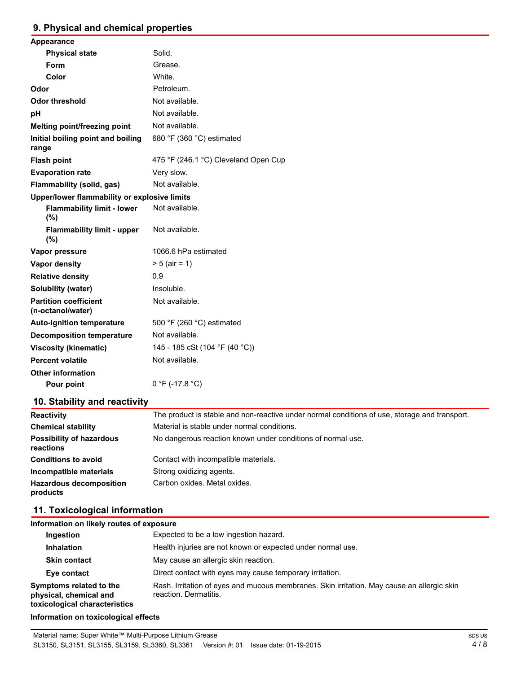# **9. Physical and chemical properties**

| Appearance                                        |                                      |  |  |
|---------------------------------------------------|--------------------------------------|--|--|
| <b>Physical state</b>                             | Solid.                               |  |  |
| Form                                              | Grease.                              |  |  |
| Color                                             | White.                               |  |  |
| Odor                                              | Petroleum.                           |  |  |
| <b>Odor threshold</b>                             | Not available.                       |  |  |
| рH                                                | Not available.                       |  |  |
| Melting point/freezing point                      | Not available.                       |  |  |
| Initial boiling point and boiling<br>range        | 680 °F (360 °C) estimated            |  |  |
| <b>Flash point</b>                                | 475 °F (246.1 °C) Cleveland Open Cup |  |  |
| <b>Evaporation rate</b>                           | Very slow.                           |  |  |
| Flammability (solid, gas)                         | Not available.                       |  |  |
| Upper/lower flammability or explosive limits      |                                      |  |  |
| <b>Flammability limit - lower</b><br>(%)          | Not available.                       |  |  |
| <b>Flammability limit - upper</b><br>(%)          | Not available.                       |  |  |
| Vapor pressure                                    | 1066.6 hPa estimated                 |  |  |
| <b>Vapor density</b>                              | $> 5$ (air = 1)                      |  |  |
| <b>Relative density</b>                           | 0.9                                  |  |  |
| <b>Solubility (water)</b>                         | Insoluble.                           |  |  |
| <b>Partition coefficient</b><br>(n-octanol/water) | Not available.                       |  |  |
| <b>Auto-ignition temperature</b>                  | 500 °F (260 °C) estimated            |  |  |
| <b>Decomposition temperature</b>                  | Not available.                       |  |  |
| <b>Viscosity (kinematic)</b>                      | 145 - 185 cSt (104 °F (40 °C))       |  |  |
| <b>Percent volatile</b>                           | Not available.                       |  |  |
| <b>Other information</b>                          |                                      |  |  |
| Pour point                                        | $0 °F (-17.8 °C)$                    |  |  |
|                                                   |                                      |  |  |

# **10. Stability and reactivity**

| <b>Reactivity</b>                            | The product is stable and non-reactive under normal conditions of use, storage and transport. |
|----------------------------------------------|-----------------------------------------------------------------------------------------------|
| <b>Chemical stability</b>                    | Material is stable under normal conditions.                                                   |
| <b>Possibility of hazardous</b><br>reactions | No dangerous reaction known under conditions of normal use.                                   |
| <b>Conditions to avoid</b>                   | Contact with incompatible materials.                                                          |
| Incompatible materials                       | Strong oxidizing agents.                                                                      |
| <b>Hazardous decomposition</b><br>products   | Carbon oxides. Metal oxides.                                                                  |

# **11. Toxicological information**

# **Information on likely routes of exposure**

| Ingestion                                                                          | Expected to be a low ingestion hazard.                                                                              |
|------------------------------------------------------------------------------------|---------------------------------------------------------------------------------------------------------------------|
| <b>Inhalation</b>                                                                  | Health injuries are not known or expected under normal use.                                                         |
| <b>Skin contact</b>                                                                | May cause an allergic skin reaction.                                                                                |
| Eye contact                                                                        | Direct contact with eyes may cause temporary irritation.                                                            |
| Symptoms related to the<br>physical, chemical and<br>toxicological characteristics | Rash. Irritation of eyes and mucous membranes. Skin irritation. May cause an allergic skin<br>reaction. Dermatitis. |

# **Information on toxicological effects**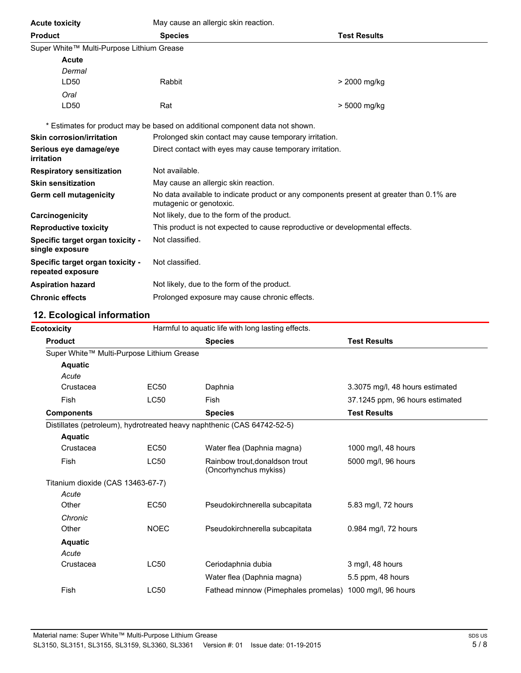| <b>Acute toxicity</b>                                 | May cause an allergic skin reaction.                                                                                |                     |  |
|-------------------------------------------------------|---------------------------------------------------------------------------------------------------------------------|---------------------|--|
| <b>Product</b>                                        | <b>Species</b>                                                                                                      | <b>Test Results</b> |  |
| Super White™ Multi-Purpose Lithium Grease             |                                                                                                                     |                     |  |
| <b>Acute</b>                                          |                                                                                                                     |                     |  |
| Dermal                                                |                                                                                                                     |                     |  |
| LD50                                                  | Rabbit                                                                                                              | > 2000 mg/kg        |  |
| Oral                                                  |                                                                                                                     |                     |  |
| LD50                                                  | Rat                                                                                                                 | > 5000 mg/kg        |  |
|                                                       | * Estimates for product may be based on additional component data not shown.                                        |                     |  |
| <b>Skin corrosion/irritation</b>                      | Prolonged skin contact may cause temporary irritation.                                                              |                     |  |
| Serious eye damage/eye<br>irritation                  | Direct contact with eyes may cause temporary irritation.                                                            |                     |  |
| <b>Respiratory sensitization</b>                      | Not available.                                                                                                      |                     |  |
| <b>Skin sensitization</b>                             | May cause an allergic skin reaction.                                                                                |                     |  |
| Germ cell mutagenicity                                | No data available to indicate product or any components present at greater than 0.1% are<br>mutagenic or genotoxic. |                     |  |
| Carcinogenicity                                       | Not likely, due to the form of the product.                                                                         |                     |  |
| <b>Reproductive toxicity</b>                          | This product is not expected to cause reproductive or developmental effects.                                        |                     |  |
| Specific target organ toxicity -<br>single exposure   | Not classified.                                                                                                     |                     |  |
| Specific target organ toxicity -<br>repeated exposure | Not classified.                                                                                                     |                     |  |
| <b>Aspiration hazard</b>                              | Not likely, due to the form of the product.                                                                         |                     |  |
| <b>Chronic effects</b>                                | Prolonged exposure may cause chronic effects.                                                                       |                     |  |

# **12. Ecological information**

| Harmful to aquatic life with long lasting effects.<br><b>Ecotoxicity</b> |                                                                         |                                                          |                                 |
|--------------------------------------------------------------------------|-------------------------------------------------------------------------|----------------------------------------------------------|---------------------------------|
| <b>Product</b>                                                           |                                                                         | <b>Species</b>                                           | <b>Test Results</b>             |
|                                                                          | Super White™ Multi-Purpose Lithium Grease                               |                                                          |                                 |
| <b>Aquatic</b>                                                           |                                                                         |                                                          |                                 |
| Acute                                                                    |                                                                         |                                                          |                                 |
| Crustacea                                                                | <b>EC50</b>                                                             | Daphnia                                                  | 3.3075 mg/l, 48 hours estimated |
| Fish                                                                     | <b>LC50</b>                                                             | <b>Fish</b>                                              | 37.1245 ppm, 96 hours estimated |
| <b>Components</b>                                                        |                                                                         | <b>Species</b>                                           | <b>Test Results</b>             |
|                                                                          | Distillates (petroleum), hydrotreated heavy naphthenic (CAS 64742-52-5) |                                                          |                                 |
| <b>Aquatic</b>                                                           |                                                                         |                                                          |                                 |
| Crustacea                                                                | <b>EC50</b>                                                             | Water flea (Daphnia magna)                               | 1000 mg/l, 48 hours             |
| Fish                                                                     | <b>LC50</b>                                                             | Rainbow trout.donaldson trout<br>(Oncorhynchus mykiss)   | 5000 mg/l, 96 hours             |
|                                                                          | Titanium dioxide (CAS 13463-67-7)                                       |                                                          |                                 |
| Acute                                                                    |                                                                         |                                                          |                                 |
| Other                                                                    | EC50                                                                    | Pseudokirchnerella subcapitata                           | 5.83 mg/l, 72 hours             |
| Chronic                                                                  |                                                                         |                                                          |                                 |
| Other                                                                    | <b>NOEC</b>                                                             | Pseudokirchnerella subcapitata                           | 0.984 mg/l, 72 hours            |
| <b>Aquatic</b>                                                           |                                                                         |                                                          |                                 |
| Acute                                                                    |                                                                         |                                                          |                                 |
| Crustacea                                                                | <b>LC50</b>                                                             | Ceriodaphnia dubia                                       | 3 mg/l, 48 hours                |
|                                                                          |                                                                         | Water flea (Daphnia magna)                               | 5.5 ppm, 48 hours               |
| Fish                                                                     | <b>LC50</b>                                                             | Fathead minnow (Pimephales promelas) 1000 mg/l, 96 hours |                                 |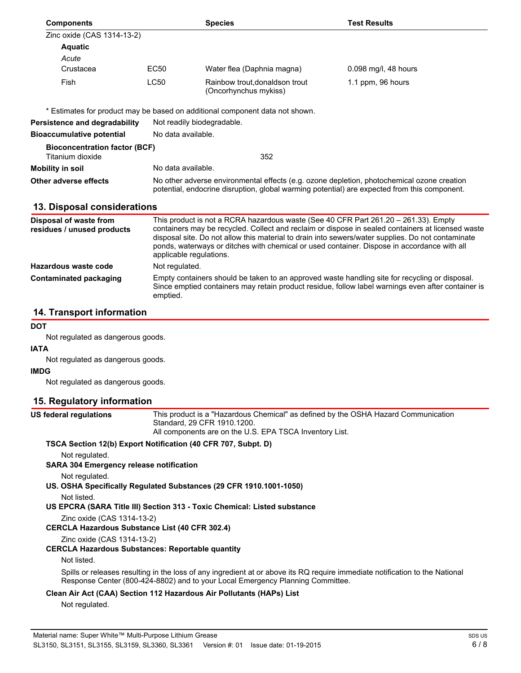| <b>Components</b>                                        |                    | <b>Species</b>                                                                                                                                                                                                                                                                                                                                                                                                          | <b>Test Results</b>  |  |
|----------------------------------------------------------|--------------------|-------------------------------------------------------------------------------------------------------------------------------------------------------------------------------------------------------------------------------------------------------------------------------------------------------------------------------------------------------------------------------------------------------------------------|----------------------|--|
| Zinc oxide (CAS 1314-13-2)                               |                    |                                                                                                                                                                                                                                                                                                                                                                                                                         |                      |  |
| <b>Aquatic</b>                                           |                    |                                                                                                                                                                                                                                                                                                                                                                                                                         |                      |  |
| Acute                                                    |                    |                                                                                                                                                                                                                                                                                                                                                                                                                         |                      |  |
| Crustacea                                                | EC <sub>50</sub>   | Water flea (Daphnia magna)                                                                                                                                                                                                                                                                                                                                                                                              | 0.098 mg/l, 48 hours |  |
| Fish                                                     | <b>LC50</b>        | Rainbow trout, donaldson trout<br>(Oncorhynchus mykiss)                                                                                                                                                                                                                                                                                                                                                                 | 1.1 ppm, 96 hours    |  |
|                                                          |                    | * Estimates for product may be based on additional component data not shown.                                                                                                                                                                                                                                                                                                                                            |                      |  |
| Persistence and degradability                            |                    | Not readily biodegradable.                                                                                                                                                                                                                                                                                                                                                                                              |                      |  |
| <b>Bioaccumulative potential</b>                         | No data available. |                                                                                                                                                                                                                                                                                                                                                                                                                         |                      |  |
| <b>Bioconcentration factor (BCF)</b><br>Titanium dioxide |                    | 352                                                                                                                                                                                                                                                                                                                                                                                                                     |                      |  |
| <b>Mobility in soil</b>                                  |                    | No data available.                                                                                                                                                                                                                                                                                                                                                                                                      |                      |  |
| Other adverse effects                                    |                    | No other adverse environmental effects (e.g. ozone depletion, photochemical ozone creation<br>potential, endocrine disruption, global warming potential) are expected from this component.                                                                                                                                                                                                                              |                      |  |
| 13. Disposal considerations                              |                    |                                                                                                                                                                                                                                                                                                                                                                                                                         |                      |  |
| Disposal of waste from<br>residues / unused products     |                    | This product is not a RCRA hazardous waste (See 40 CFR Part 261.20 - 261.33). Empty<br>containers may be recycled. Collect and reclaim or dispose in sealed containers at licensed waste<br>disposal site. Do not allow this material to drain into sewers/water supplies. Do not contaminate<br>ponds, waterways or ditches with chemical or used container. Dispose in accordance with all<br>applicable regulations. |                      |  |
| Hazardous waste code                                     | Not regulated.     |                                                                                                                                                                                                                                                                                                                                                                                                                         |                      |  |
| <b>Contaminated packaging</b>                            | emptied.           | Empty containers should be taken to an approved waste handling site for recycling or disposal.<br>Since emptied containers may retain product residue, follow label warnings even after container is                                                                                                                                                                                                                    |                      |  |

# **14. Transport information**

#### **DOT**

Not regulated as dangerous goods.

#### **IATA**

Not regulated as dangerous goods.

#### **IMDG**

Not regulated as dangerous goods.

# **15. Regulatory information**

**US federal regulations** This product is a "Hazardous Chemical" as defined by the OSHA Hazard Communication Standard, 29 CFR 1910.1200. All components are on the U.S. EPA TSCA Inventory List.

# **TSCA Section 12(b) Export Notification (40 CFR 707, Subpt. D)**

Not regulated.

# **SARA 304 Emergency release notification**

Not regulated.

- **US. OSHA Specifically Regulated Substances (29 CFR 1910.1001-1050)**
	- Not listed.
- **US EPCRA (SARA Title III) Section 313 Toxic Chemical: Listed substance**

Zinc oxide (CAS 1314-13-2)

# **CERCLA Hazardous Substance List (40 CFR 302.4)**

Zinc oxide (CAS 1314-13-2)

# **CERCLA Hazardous Substances: Reportable quantity**

Not listed.

Spills or releases resulting in the loss of any ingredient at or above its RQ require immediate notification to the National Response Center (800-424-8802) and to your Local Emergency Planning Committee.

# **Clean Air Act (CAA) Section 112 Hazardous Air Pollutants (HAPs) List**

Not regulated.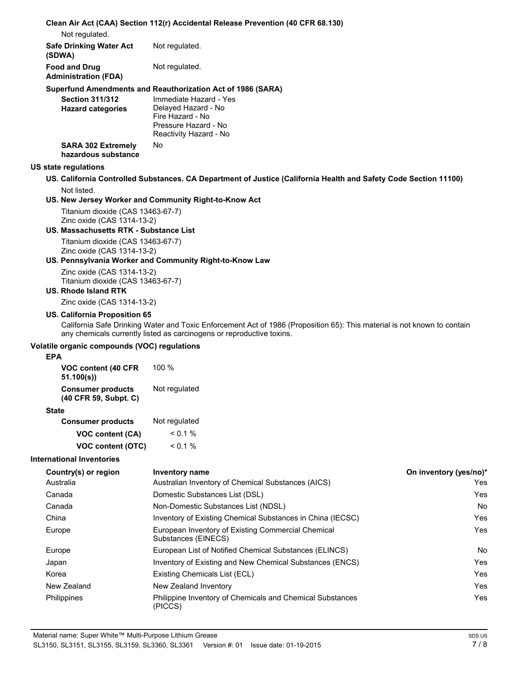#### **Clean Air Act (CAA) Section 112(r) Accidental Release Prevention (40 CFR 68.130)**

Not regulated.

| <b>Safe Drinking Water Act</b> | Not regulated. |
|--------------------------------|----------------|
| (SDWA)                         |                |
| <b>Food and Drug</b>           | Not regulated. |
| <b>Administration (FDA)</b>    |                |

#### **Superfund Amendments and Reauthorization Act of 1986 (SARA)**

| <b>Section 311/312</b><br><b>Hazard categories</b> | Immediate Hazard - Yes<br>Delayed Hazard - No |
|----------------------------------------------------|-----------------------------------------------|
|                                                    | Fire Hazard - No                              |
|                                                    | Pressure Hazard - No                          |
|                                                    | Reactivity Hazard - No                        |
| <b>SARA 302 Extremely</b><br>hazardous substance   | No                                            |

#### **US state regulations**

#### **US. California Controlled Substances. CA Department of Justice (California Health and Safety Code Section 11100)** Not listed.

#### **US. New Jersey Worker and Community Right-to-Know Act**

Titanium dioxide (CAS 13463-67-7) Zinc oxide (CAS 1314-13-2)

#### **US. Massachusetts RTK - Substance List**

Titanium dioxide (CAS 13463-67-7) Zinc oxide (CAS 1314-13-2)

#### **US. Pennsylvania Worker and Community Right-to-Know Law**

Zinc oxide (CAS 1314-13-2) Titanium dioxide (CAS 13463-67-7)

# **US. Rhode Island RTK**

Zinc oxide (CAS 1314-13-2)

#### **US. California Proposition 65**

California Safe Drinking Water and Toxic Enforcement Act of 1986 (Proposition 65): This material is not known to contain any chemicals currently listed as carcinogens or reproductive toxins.

# **Volatile organic compounds (VOC) regulations**

#### **EPA**

| VOC content (40 CFR<br>51.100(s)                  | $100 \%$      |
|---------------------------------------------------|---------------|
| <b>Consumer products</b><br>(40 CFR 59, Subpt. C) | Not regulated |

### **State**

| <b>Consumer products</b> | Not regulated |
|--------------------------|---------------|
| <b>VOC content (CA)</b>  | $< 0.1\%$     |
| VOC content (OTC)        | $< 0.1\%$     |

#### **International Inventories**

| Country(s) or region | <b>Inventory name</b>                                                     | On inventory (yes/no)* |
|----------------------|---------------------------------------------------------------------------|------------------------|
| Australia            | Australian Inventory of Chemical Substances (AICS)                        | Yes                    |
| Canada               | Domestic Substances List (DSL)                                            | Yes                    |
| Canada               | Non-Domestic Substances List (NDSL)                                       | <b>No</b>              |
| China                | Inventory of Existing Chemical Substances in China (IECSC)                | Yes                    |
| Europe               | European Inventory of Existing Commercial Chemical<br>Substances (EINECS) | Yes                    |
| Europe               | European List of Notified Chemical Substances (ELINCS)                    | No                     |
| Japan                | Inventory of Existing and New Chemical Substances (ENCS)                  | Yes                    |
| Korea                | Existing Chemicals List (ECL)                                             | Yes                    |
| New Zealand          | New Zealand Inventory                                                     | Yes                    |
| Philippines          | Philippine Inventory of Chemicals and Chemical Substances<br>(PICCS)      | Yes                    |